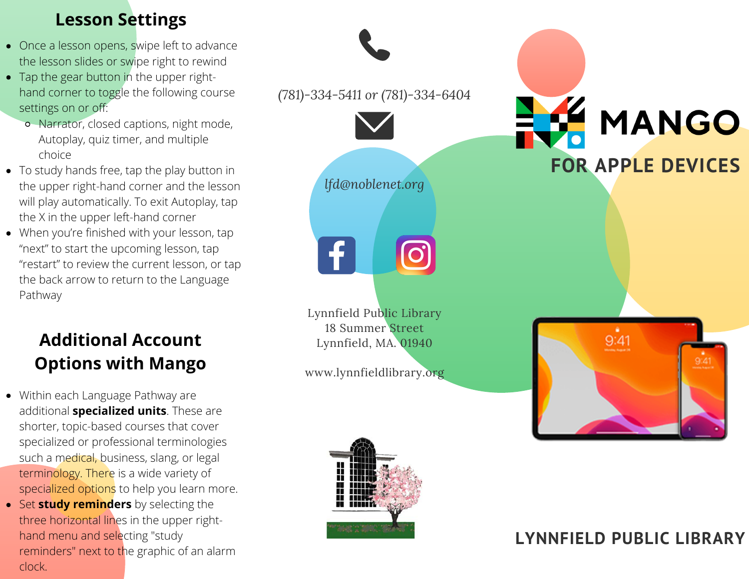## **Lesson Settings**

- Once a lesson opens, swipe left to advance the lesson slides or swipe right to rewind
- Tap the gear button in the upper righthand corner to toggle the following course settings on or off:
	- Narrator, closed captions, night mode, Autoplay, quiz timer, and multiple choice
- To study hands free, tap the play button in the upper right-hand corner and the lesson will play automatically. To exit Autoplay, tap the X in the upper left-hand corner
- When you're finished with your lesson, tap "next" to start the upcoming lesson, tap "restart" to review the current lesson, or tap the back arrow to return to the Language Pathway

# **Additional Account Options with Mango**

- Within each Language Pathway are additional **specialized units**. These are shorter, topic-based courses that cover specialized or professional terminologies such a medical, business, slang, or legal terminology. There is a wide variety of specialized options to help you learn more.
- **Set study reminders** by selecting the three horizontal lines in the upper righthand menu and selecting "study reminders" next to the graphic of an alarm clock.





# MANGO **FOR APPLE DEVICES**



## **LYNNFIELD PUBLIC LIBRARY**